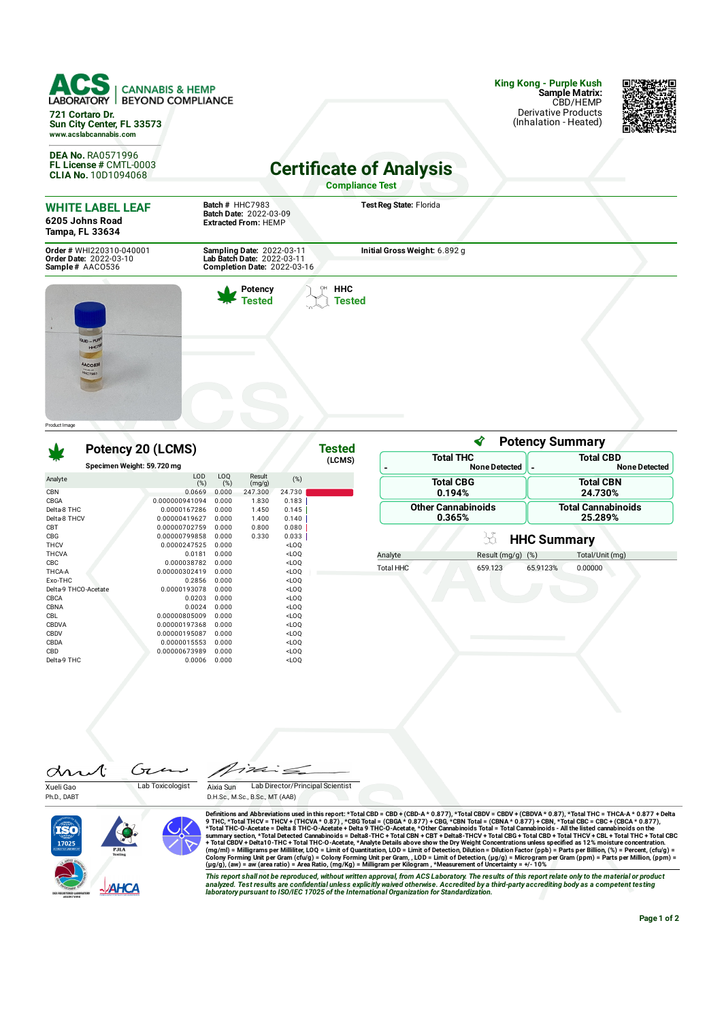**King Kong - Purple Kush Sample Matrix: CANNABIS & HEMP** ORY BEYOND COMPLIANCE LABORAT CBD/HEMP Derivative Products **721 Cortaro Dr.** (Inhalation - Heated) **Sun City Center, FL 33573 www.acslabcannabis.com DEA No.** RA0571996 **Certificate of Analysis FL License #** CMTL-0003 **CLIA No.** 10D1094068 **Compliance Test Batch #** HHC7983 **Test Reg State:** Florida **WHITE LABEL LEAF Batch Date:** 2022-03-09 **Extracted From:** HEMP **6205 Johns Road Tampa, FL 33634 Initial Gross Weight:** 6.892 g

> **PH** HHC **Tested**

ì

**Tested**

**Order #** WHI220310-040001 **Order Date:** 2022-03-10 **Sample #** AACO536

**Sampling Date:** 2022-03-11 **Lab Batch Date:** 2022-03-11 **Completion Date:** 2022-03-16

> **Potency Tested**



## **Potency 20 (LCMS)**

|                      |                            |            |                  |         | (LCMS) |
|----------------------|----------------------------|------------|------------------|---------|--------|
|                      | Specimen Weight: 59.720 mg |            |                  |         |        |
| Analyte              | LOD<br>(%)                 | LOQ<br>(%) | Result<br>(mg/g) | (%)     |        |
| <b>CBN</b>           | 0.0669                     | 0.000      | 247.300          | 24.730  |        |
| CBGA                 | 0.000000941094             | 0.000      | 1.830            | 0.183   |        |
| Delta-8 THC          | 0.0000167286               | 0.000      | 1.450            | 0.145   |        |
| Delta-8 THCV         | 0.00000419627              | 0.000      | 1.400            | 0.140   |        |
| <b>CBT</b>           | 0.00000702759              | 0.000      | 0.800            | 0.080   |        |
| CBG                  | 0.00000799858              | 0.000      | 0.330            | 0.033   |        |
| <b>THCV</b>          | 0.0000247525               | 0.000      |                  | $<$ LOQ |        |
| <b>THCVA</b>         | 0.0181                     | 0.000      |                  | $<$ LOQ |        |
| CBC                  | 0.000038782                | 0.000      |                  | $<$ LOQ |        |
| THCA-A               | 0.00000302419              | 0.000      |                  | $<$ LOQ |        |
| Exo-THC              | 0.2856                     | 0.000      |                  | $<$ LOQ |        |
| Delta-9 THCO-Acetate | 0.0000193078               | 0.000      |                  | $<$ LOQ |        |
| CBCA                 | 0.0203                     | 0.000      |                  | $<$ LOQ |        |
| CBNA                 | 0.0024                     | 0.000      |                  | $<$ LOQ |        |
| <b>CBL</b>           | 0.00000805009              | 0.000      |                  | $<$ LOQ |        |
| CBDVA                | 0.00000197368              | 0.000      |                  | $<$ LOQ |        |
| CBDV                 | 0.00000195087              | 0.000      |                  | $<$ LOQ |        |
| CBDA                 | 0.0000015553               | 0.000      |                  | $<$ LOQ |        |
| CBD                  | 0.00000673989              | 0.000      |                  | $<$ LOQ |        |
| Delta-9 THC          | 0.0006                     | 0.000      |                  | $<$ LOQ |        |
|                      |                            |            |                  |         |        |

|                           | <b>Potency Summary</b>    |
|---------------------------|---------------------------|
| <b>Total THC</b>          | <b>Total CBD</b>          |
| <b>None Detected</b>      | <b>None Detected</b>      |
| <b>Total CBG</b>          | <b>Total CBN</b>          |
| 0.194%                    | 24.730%                   |
| <b>Other Cannabinoids</b> | <b>Total Cannabinoids</b> |
| 0.365%                    | 25.289%                   |

## }å **HHC Summary**

| Analyte   | Result $(mq/q)$ $(\%)$ |          | Total/Unit (mg) |
|-----------|------------------------|----------|-----------------|
| Total HHC | 659.123                | 65.9123% | 0.00000         |
|           |                        |          |                 |

 $\mathbf{A}$ 

 $\sqrt{7}$  $\infty$ Xueli Gao Lab Toxicologist

Ph.D., DABT







Definitions and Abbreviations used in this report: \*Total CBD = CBD + (CBD-A \* 0.877), \*Total CBDV + CBDVA \* 0.87), \*Total THC = THCA-A \* 0.877 + Delta<br>9 THC, \*Total THC = THCA-A \* 0.877 + Delta<br>\*Total THC = CBD + (THCVA

This report shall not be reproduced, without written approval, from ACS Laboratory. The results of this report relate only to the material or product<br>analyzed. Test results are confidential unless explicitly waived otherwi